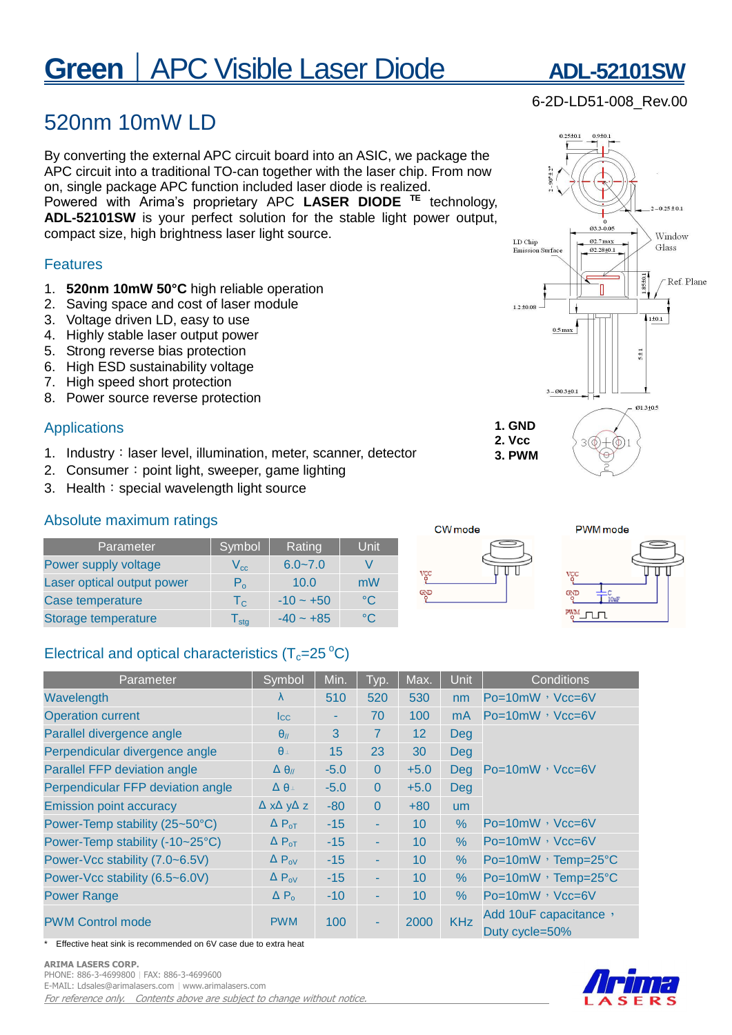# **Green** | APC Visible Laser Diode ADL-52101SW

#### **ARIMA LASERS CORP.**  PHONE: 886-3-4699800︱FAX: 886-3-4699600

E-MAIL: Ldsales@arimalasers.com︱www.arimalasers.com For reference only. Contents above are subject to change without notice.

Effective heat sink is recommended on 6V case due to extra heat

### 520nm 10mW LD

By converting the external APC circuit board into an ASIC, we package the APC circuit into a traditional TO-can together with the laser chip. From now on, single package APC function included laser diode is realized. Powered with Arima's proprietary APC **LASER DIODE TE** technology, **ADL-52101SW** is your perfect solution for the stable light power output,

compact size, high brightness laser light source.

#### Features

- 1. **520nm 10mW 50°C** high reliable operation
- 2. Saving space and cost of laser module
- 3. Voltage driven LD, easy to use
- 4. Highly stable laser output power
- 5. Strong reverse bias protection
- 6. High ESD sustainability voltage
- 7. High speed short protection
- 8. Power source reverse protection

#### Applications

- 1. Industry: laser level, illumination, meter, scanner, detector
- 2. Consumer: point light, sweeper, game lighting
- 3. Health: special wavelength light source

#### Absolute maximum ratings

| Parameter                  | Symbol           | Rating      | Unit         |
|----------------------------|------------------|-------------|--------------|
| Power supply voltage       | $V_{cc}$         | $6.0 - 7.0$ |              |
| Laser optical output power | P <sub>o</sub>   | 10.0        | mW           |
| Case temperature           | $T_{\rm C}$      | $-10 - +50$ | $^{\circ}$ C |
| Storage temperature        | $T_{\text{stg}}$ | $-40 - +85$ | $^{\circ}$   |

### Electrical and optical characteristics  $(T_c=25\degree C)$

| Parameter                           | Symbol                           | Min.   | Typ.         | Max.            | <b>Unit</b>    | Conditions                              |  |
|-------------------------------------|----------------------------------|--------|--------------|-----------------|----------------|-----------------------------------------|--|
| Wavelength                          | $\lambda$                        | 510    | 520          | 530             | nm             | $Po=10mW$ , $Vcc=6V$                    |  |
| <b>Operation current</b>            | $I_{\rm CC}$                     |        | 70           | 100             | m <sub>A</sub> | $Po=10mW$ , $Vcc=6V$                    |  |
| Parallel divergence angle           | $\theta$ <sub>//</sub>           | 3      | 7            | 12              | <b>Deg</b>     |                                         |  |
| Perpendicular divergence angle      | $\theta$                         | 15     | 23           | 30              | <b>Deg</b>     | $Po=10mW$ , $Vcc=6V$                    |  |
| <b>Parallel FFP deviation angle</b> | $\Delta \theta_{\textit{N}}$     | $-5.0$ | $\mathbf{0}$ | $+5.0$          | <b>Deg</b>     |                                         |  |
| Perpendicular FFP deviation angle   | $\Delta \theta$                  | $-5.0$ | $\Omega$     | $+5.0$          | Deg            |                                         |  |
| <b>Emission point accuracy</b>      | $\Delta$ x $\Delta$ y $\Delta$ z | $-80$  | $\Omega$     | $+80$           | <b>um</b>      |                                         |  |
| Power-Temp stability (25~50°C)      | $\Delta P_{\text{OT}}$           | $-15$  | ٠            | 10 <sup>1</sup> | $\%$           | $Po=10mW$ , $Vcc=6V$                    |  |
| Power-Temp stability (-10~25°C)     | $\Delta P_{\text{OT}}$           | $-15$  | ٠            | 10              | $\%$           | $Po=10mW$ , $Vcc=6V$                    |  |
| Power-Vcc stability (7.0~6.5V)      | $\Delta P_{ov}$                  | $-15$  | ٠            | 10 <sup>1</sup> | $\%$           | Po=10mW, Temp=25°C                      |  |
| Power-Vcc stability (6.5~6.0V)      | $\Delta P_{ov}$                  | $-15$  | ٠            | 10 <sup>1</sup> | %              | Po=10mW, Temp=25°C                      |  |
| <b>Power Range</b>                  | $\Delta P_{o}$                   | $-10$  | ٠            | 10              | %              | $Po=10mW$ , $Vcc=6V$                    |  |
| <b>PWM Control mode</b>             | <b>PWM</b>                       | 100    | ٠            | 2000            | <b>KHz</b>     | Add 10uF capacitance,<br>Duty cycle=50% |  |

03.3-0.05 LD Chip Ø2.7 max Glass **Emission Surface** 02.28±0.1  $1.2 \pm 0.08$  $1 ± 0.1$  $0.5\,\mathrm{max}$  $5 \pm 1$  $3 - 60.3 + 0.1$ 01.3±0.5 **1. GND 2. Vcc**  $\Theta$  $3(\Phi)$ **3. PWM**

CW mode





**PWM** mode

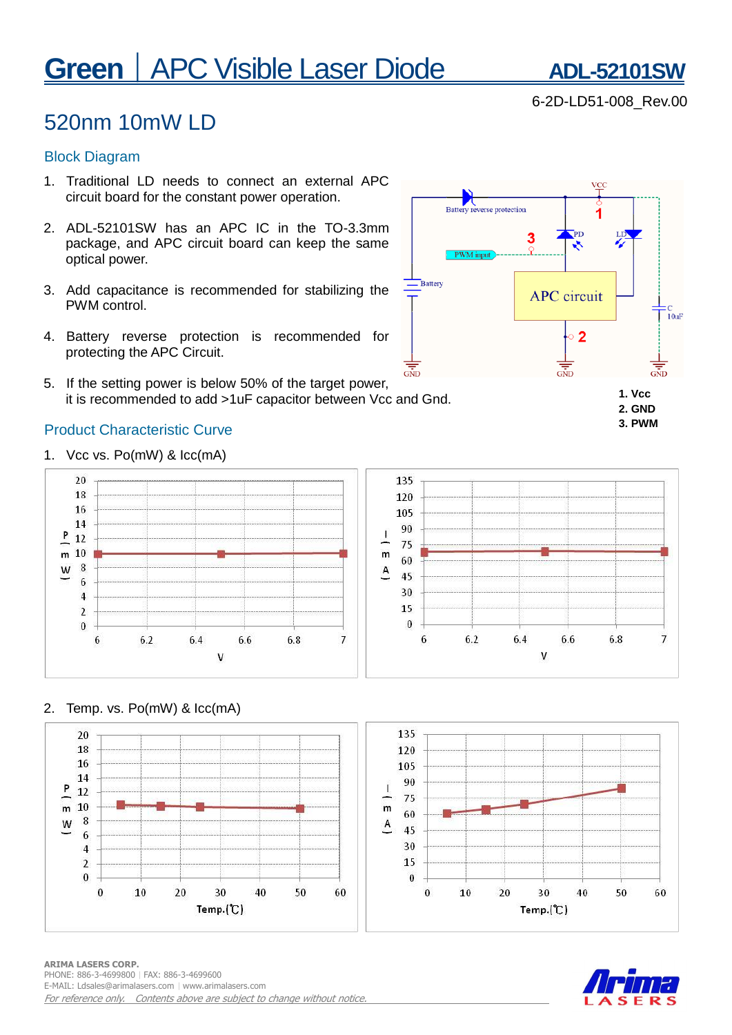# **Green** | APC Visible Laser Diode ADL-52101SW

6-2D-LD51-008\_Rev.00

### 520nm 10mW LD

#### Block Diagram

- 1. Traditional LD needs to connect an external APC circuit board for the constant power operation.
- 2. ADL-52101SW has an APC IC in the TO-3.3mm package, and APC circuit board can keep the same optical power.
- 3. Add capacitance is recommended for stabilizing the PWM control.
- 4. Battery reverse protection is recommended for protecting the APC Circuit.
- $\overline{\overline{\text{GND}}}$ 5. If the setting power is below 50% of the target power, it is recommended to add >1uF capacitor between Vcc and Gnd.

#### Product Characteristic Curve

1. Vcc vs. Po(mW) & Icc(mA)



#### 2. Temp. vs. Po(mW) & Icc(mA)







#### **ARIMA LASERS CORP.**  PHONE: 886-3-4699800︱FAX: 886-3-4699600 E-MAIL: Ldsales@arimalasers.com | www.arimalasers.com For reference only. Contents above are subject to change without notice.



**2. GND 3. PWM**